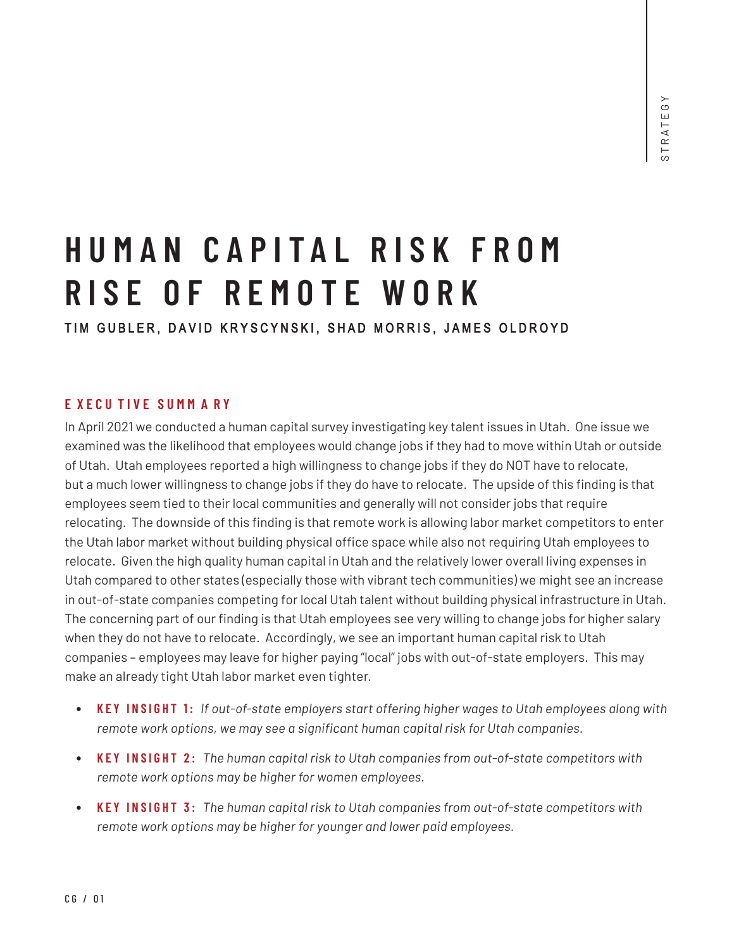# **H UMAN C A P I T A L RISK F R O M R I S E OF R E MOTE WORK**

TIM GUBLER, DAVID KRYSCYNSKI, SHAD MORRIS, JAMES OLDROYD

## **E X E C U T I V E SU M M A R Y**

In April 2021 we conducted a human capital survey investigating key talent issues in Utah. One issue we examined was the likelihood that employees would change jobs if they had to move within Utah or outside of Utah. Utah employees reported a high willingness to change jobs if they do NOT have to relocate, but a much lower willingness to change jobs if they do have to relocate. The upside of this finding is that employees seem tied to their local communities and generally will not consider jobs that require relocating. The downside of this finding is that remote work is allowing labor market competitors to enter the Utah labor market without building physical office space while also not requiring Utah employees to relocate. Given the high quality human capital in Utah and the relatively lower overall living expenses in Utah compared to other states (especially those with vibrant tech communities) we might see an increase in out-of-state companies competing for local Utah talent without building physical infrastructure in Utah. The concerning part of our finding is that Utah employees see very willing to change jobs for higher salary when they do not have to relocate. Accordingly, we see an important human capital risk to Utah companies – employees may leave for higher paying "local" jobs with out-of-state employers. This may make an already tight Utah labor market even tighter.

- **KEY INSIGHT 1:** *If out-of-state employers start offering higher wages to Utah employees along with remote work options, we may see a significant human capital risk for Utah companies.*
- **KEY INSIGHT 2:** *The human capital risk to Utah companies from out-of-state competitors with remote work options may be higher for women employees.*
- **KEY INSIGHT 3:** *The human capital risk to Utah companies from out-of-state competitors with remote work options may be higher for younger and lower paid employees.*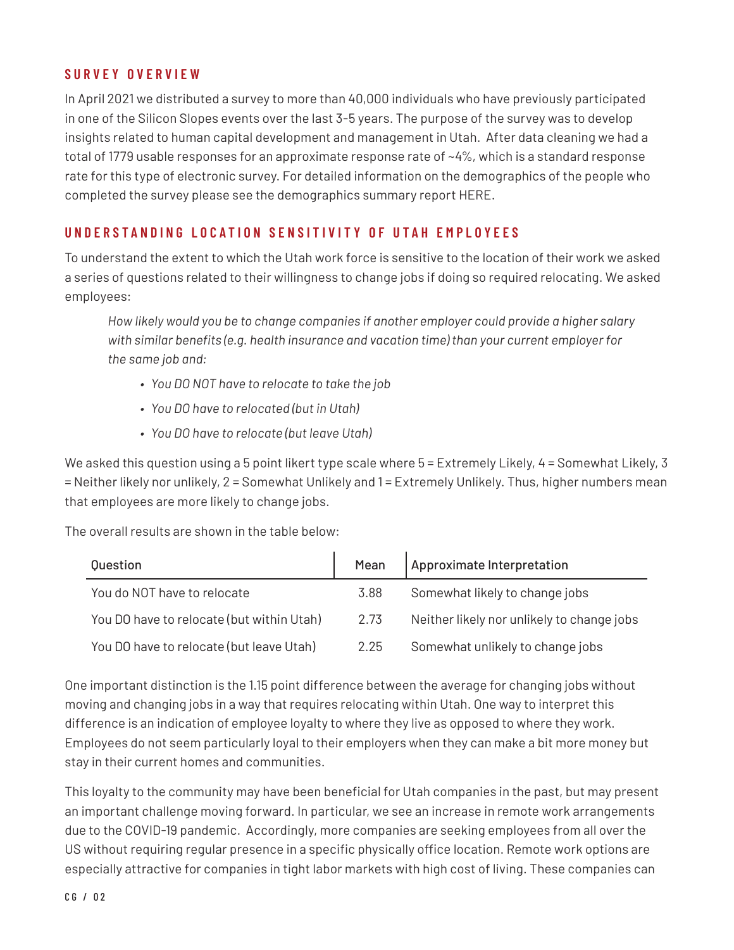## **SURVEY OVERVIEW**

In April 2021 we distributed a survey to more than 40,000 individuals who have previously participated in one of the Silicon Slopes events over the last 3-5 years. The purpose of the survey was to develop insights related to human capital development and management in Utah. After data cleaning we had a total of 1779 usable responses for an approximate response rate of ~4%, which is a standard response rate for this type of electronic survey. For detailed information on the demographics of the people who completed the survey please see the demographics summary report HERE.

# **UNDERSTANDING LOCATION SENSITIVITY OF UTAH EMPLOYEES**

To understand the extent to which the Utah work force is sensitive to the location of their work we asked a series of questions related to their willingness to change jobs if doing so required relocating. We asked employees:

*How likely would you be to change companies if another employer could provide a higher salary with similar benefits (e.g. health insurance and vacation time) than your current employer for the same job and:*

- *• You DO NOT have to relocate to take the job*
- *• You DO have to relocated (but in Utah)*
- *• You DO have to relocate (but leave Utah)*

We asked this question using a 5 point likert type scale where  $5 =$  Extremely Likely, 4 = Somewhat Likely, 3 = Neither likely nor unlikely, 2 = Somewhat Unlikely and 1 = Extremely Unlikely. Thus, higher numbers mean that employees are more likely to change jobs.

The overall results are shown in the table below:

| Question                                  | Mean | Approximate Interpretation                 |
|-------------------------------------------|------|--------------------------------------------|
| You do NOT have to relocate               | 3.88 | Somewhat likely to change jobs             |
| You DO have to relocate (but within Utah) | 2.73 | Neither likely nor unlikely to change jobs |
| You DO have to relocate (but leave Utah)  | 2.25 | Somewhat unlikely to change jobs           |

One important distinction is the 1.15 point difference between the average for changing jobs without moving and changing jobs in a way that requires relocating within Utah. One way to interpret this difference is an indication of employee loyalty to where they live as opposed to where they work. Employees do not seem particularly loyal to their employers when they can make a bit more money but stay in their current homes and communities.

This loyalty to the community may have been beneficial for Utah companies in the past, but may present an important challenge moving forward. In particular, we see an increase in remote work arrangements due to the COVID-19 pandemic. Accordingly, more companies are seeking employees from all over the US without requiring regular presence in a specific physically office location. Remote work options are especially attractive for companies in tight labor markets with high cost of living. These companies can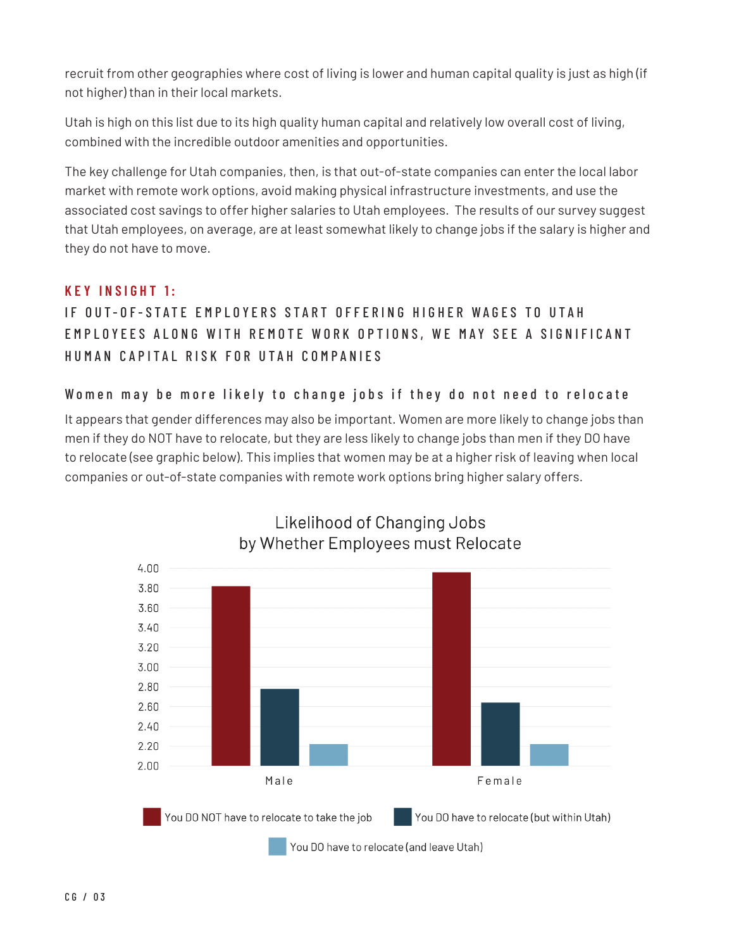recruit from other geographies where cost of living is lower and human capital quality is just as high (if not higher) than in their local markets.

Utah is high on this list due to its high quality human capital and relatively low overall cost of living, combined with the incredible outdoor amenities and opportunities.

The key challenge for Utah companies, then, is that out-of-state companies can enter the local labor market with remote work options, avoid making physical infrastructure investments, and use the associated cost savings to offer higher salaries to Utah employees. The results of our survey suggest that Utah employees, on average, are at least somewhat likely to change jobs if the salary is higher and they do not have to move.

# **KEY INSIGHT 1:**

IF OUT-OF-STATE FMPIOYERS START OFFFRING HIGHER WAGES TO UTAH EMPLOYEES ALONG WITH REMOTE WORK OPTIONS, WE MAY SEE A SIGNIFICANT HUMAN CAPITAL RISK FOR UTAH COMPANIES

## Women may be more likely to change jobs if they do not need to relocate

It appears that gender differences may also be important. Women are more likely to change jobs than men if they do NOT have to relocate, but they are less likely to change jobs than men if they DO have to relocate (see graphic below). This implies that women may be at a higher risk of leaving when local companies or out-of-state companies with remote work options bring higher salary offers.

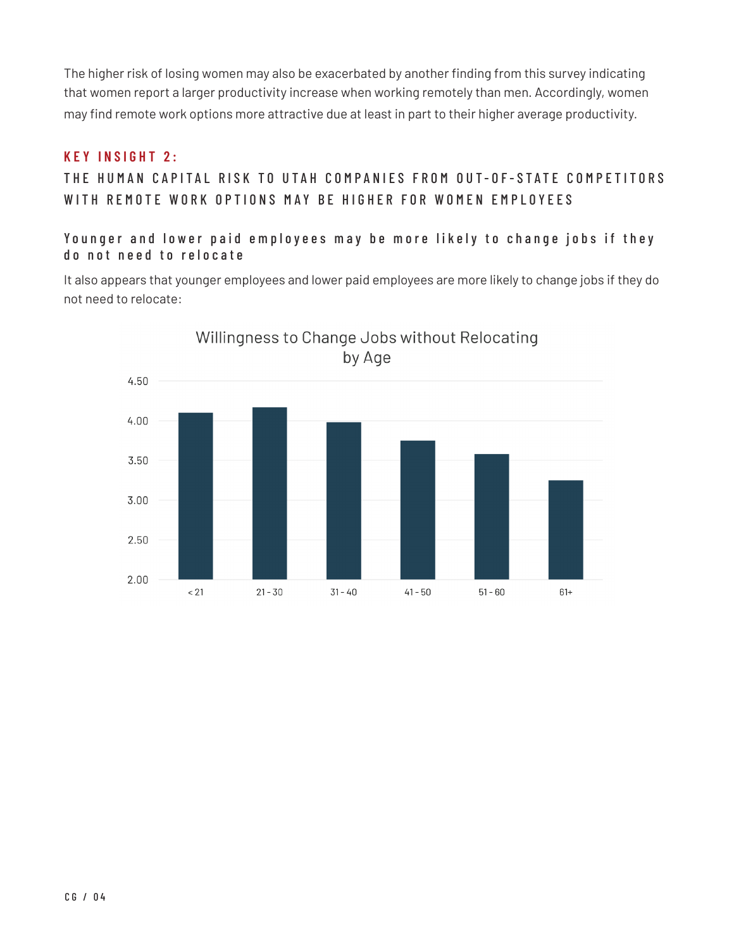The higher risk of losing women may also be exacerbated by another finding from this survey indicating that women report a larger productivity increase when working remotely than men. Accordingly, women may find remote work options more attractive due at least in part to their higher average productivity.

#### **KEY INSIGHT 2:**

THE HUMAN CAPITAL RISK TO UTAH COMPANIES FROM OUT-OF-STATE COMPETITORS WITH REMOTE WORK OPTIONS MAY BE HIGHER FOR WOMEN EMPLOYEES

Younger and lower paid employees may be more likely to change jobs if they do not need to relocate

It also appears that younger employees and lower paid employees are more likely to change jobs if they do not need to relocate: